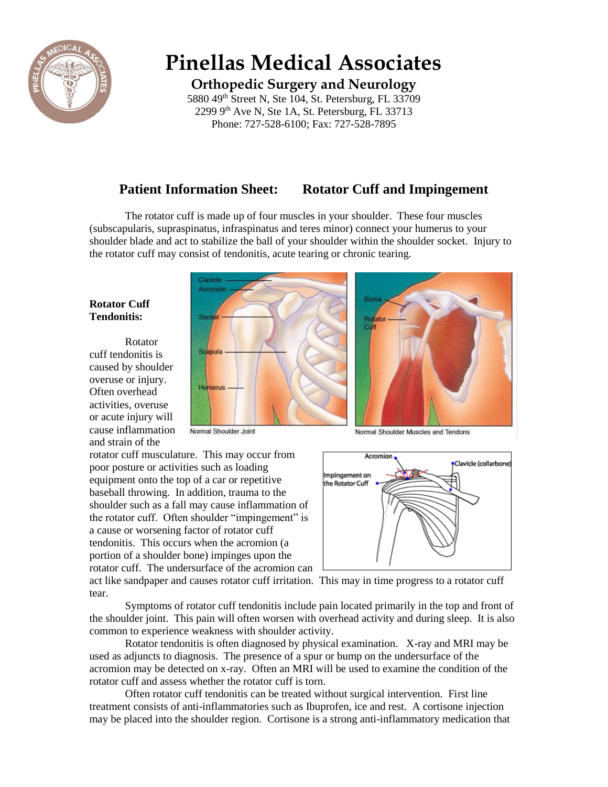

# **Pinellas Medical Associates**

**Orthopedic Surgery and Neurology**

5880 49<sup>th</sup> Street N, Ste 104, St. Petersburg, FL 33709  $2299$  9<sup>th</sup> Ave N, Ste 1A, St. Petersburg, FL 33713 Phone: 727-528-6100; Fax: 727-528-7895

# **Patient Information Sheet: Rotator Cuff and Impingement**

The rotator cuff is made up of four muscles in your shoulder. These four muscles (subscapularis, supraspinatus, infraspinatus and teres minor) connect your humerus to your shoulder blade and act to stabilize the ball of your shoulder within the shoulder socket. Injury to the rotator cuff may consist of tendonitis, acute tearing or chronic tearing.

### **Rotator Cuff Tendonitis:**

Rotator cuff tendonitis is caused by shoulder overuse or injury. Often overhead activities, overuse or acute injury will cause inflammation and strain of the



Normal Shoulder Joint

rotator cuff musculature. This may occur from poor posture or activities such as loading equipment onto the top of a car or repetitive baseball throwing. In addition, trauma to the shoulder such as a fall may cause inflammation of the rotator cuff. Often shoulder "impingement" is a cause or worsening factor of rotator cuff tendonitis. This occurs when the acromion (a portion of a shoulder bone) impinges upon the rotator cuff. The undersurface of the acromion can

Normal Shoulder Muscles and Tendons



act like sandpaper and causes rotator cuff irritation. This may in time progress to a rotator cuff tear.

Symptoms of rotator cuff tendonitis include pain located primarily in the top and front of the shoulder joint. This pain will often worsen with overhead activity and during sleep. It is also common to experience weakness with shoulder activity.

Rotator tendonitis is often diagnosed by physical examination. X-ray and MRI may be used as adjuncts to diagnosis. The presence of a spur or bump on the undersurface of the acromion may be detected on x-ray. Often an MRI will be used to examine the condition of the rotator cuff and assess whether the rotator cuff is torn.

Often rotator cuff tendonitis can be treated without surgical intervention. First line treatment consists of anti-inflammatories such as Ibuprofen, ice and rest. A cortisone injection may be placed into the shoulder region. Cortisone is a strong anti-inflammatory medication that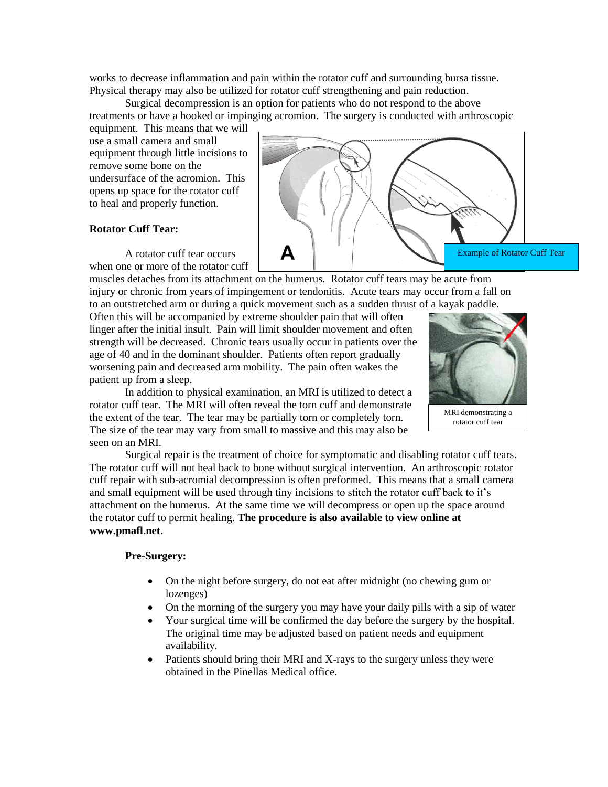works to decrease inflammation and pain within the rotator cuff and surrounding bursa tissue. Physical therapy may also be utilized for rotator cuff strengthening and pain reduction.

Surgical decompression is an option for patients who do not respond to the above treatments or have a hooked or impinging acromion. The surgery is conducted with arthroscopic

equipment. This means that we will use a small camera and small equipment through little incisions to remove some bone on the undersurface of the acromion. This opens up space for the rotator cuff to heal and properly function.

#### **Rotator Cuff Tear:**

A rotator cuff tear occurs when one or more of the rotator cuff

muscles detaches from its attachment on the humerus. Rotator cuff tears may be acute from injury or chronic from years of impingement or tendonitis. Acute tears may occur from a fall on to an outstretched arm or during a quick movement such as a sudden thrust of a kayak paddle.

Д

Often this will be accompanied by extreme shoulder pain that will often linger after the initial insult. Pain will limit shoulder movement and often strength will be decreased. Chronic tears usually occur in patients over the age of 40 and in the dominant shoulder. Patients often report gradually worsening pain and decreased arm mobility. The pain often wakes the patient up from a sleep.

In addition to physical examination, an MRI is utilized to detect a rotator cuff tear. The MRI will often reveal the torn cuff and demonstrate the extent of the tear. The tear may be partially torn or completely torn. The size of the tear may vary from small to massive and this may also be seen on an MRI.



Example of Rotator Cuff Tear

MRI demonstrating a rotator cuff tear

Surgical repair is the treatment of choice for symptomatic and disabling rotator cuff tears. The rotator cuff will not heal back to bone without surgical intervention. An arthroscopic rotator cuff repair with sub-acromial decompression is often preformed. This means that a small camera and small equipment will be used through tiny incisions to stitch the rotator cuff back to it's attachment on the humerus. At the same time we will decompress or open up the space around the rotator cuff to permit healing. **The procedure is also available to view online at www.pmafl.net.**

#### **Pre-Surgery:**

- On the night before surgery, do not eat after midnight (no chewing gum or lozenges)
- On the morning of the surgery you may have your daily pills with a sip of water
- Your surgical time will be confirmed the day before the surgery by the hospital. The original time may be adjusted based on patient needs and equipment availability.
- Patients should bring their MRI and X-rays to the surgery unless they were obtained in the Pinellas Medical office.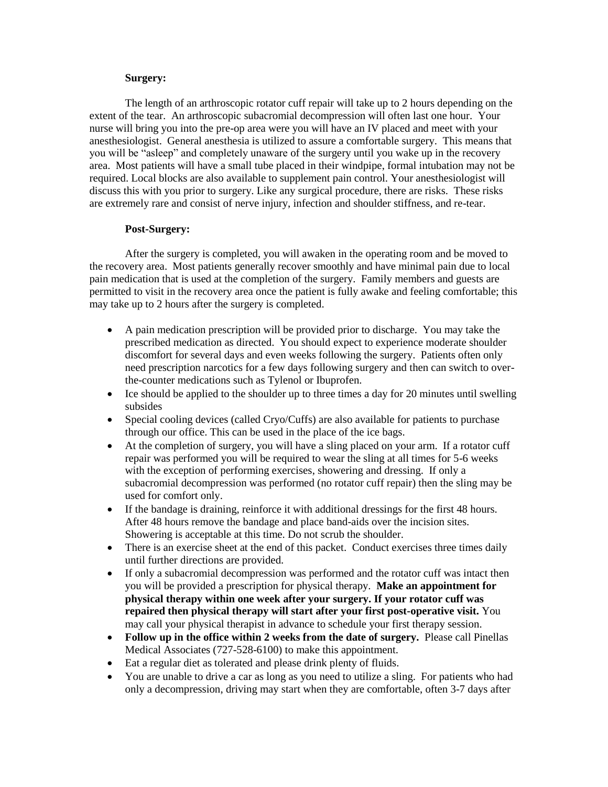#### **Surgery:**

The length of an arthroscopic rotator cuff repair will take up to 2 hours depending on the extent of the tear. An arthroscopic subacromial decompression will often last one hour. Your nurse will bring you into the pre-op area were you will have an IV placed and meet with your anesthesiologist. General anesthesia is utilized to assure a comfortable surgery. This means that you will be "asleep" and completely unaware of the surgery until you wake up in the recovery area. Most patients will have a small tube placed in their windpipe, formal intubation may not be required. Local blocks are also available to supplement pain control. Your anesthesiologist will discuss this with you prior to surgery. Like any surgical procedure, there are risks. These risks are extremely rare and consist of nerve injury, infection and shoulder stiffness, and re-tear.

#### **Post-Surgery:**

After the surgery is completed, you will awaken in the operating room and be moved to the recovery area. Most patients generally recover smoothly and have minimal pain due to local pain medication that is used at the completion of the surgery. Family members and guests are permitted to visit in the recovery area once the patient is fully awake and feeling comfortable; this may take up to 2 hours after the surgery is completed.

- A pain medication prescription will be provided prior to discharge. You may take the prescribed medication as directed. You should expect to experience moderate shoulder discomfort for several days and even weeks following the surgery. Patients often only need prescription narcotics for a few days following surgery and then can switch to overthe-counter medications such as Tylenol or Ibuprofen.
- Ice should be applied to the shoulder up to three times a day for 20 minutes until swelling subsides
- Special cooling devices (called Cryo/Cuffs) are also available for patients to purchase through our office. This can be used in the place of the ice bags.
- At the completion of surgery, you will have a sling placed on your arm. If a rotator cuff repair was performed you will be required to wear the sling at all times for 5-6 weeks with the exception of performing exercises, showering and dressing. If only a subacromial decompression was performed (no rotator cuff repair) then the sling may be used for comfort only.
- If the bandage is draining, reinforce it with additional dressings for the first 48 hours. After 48 hours remove the bandage and place band-aids over the incision sites. Showering is acceptable at this time. Do not scrub the shoulder.
- There is an exercise sheet at the end of this packet. Conduct exercises three times daily until further directions are provided.
- If only a subacromial decompression was performed and the rotator cuff was intact then you will be provided a prescription for physical therapy. **Make an appointment for physical therapy within one week after your surgery. If your rotator cuff was repaired then physical therapy will start after your first post-operative visit.** You may call your physical therapist in advance to schedule your first therapy session.
- **Follow up in the office within 2 weeks from the date of surgery.** Please call Pinellas Medical Associates (727-528-6100) to make this appointment.
- Eat a regular diet as tolerated and please drink plenty of fluids.
- You are unable to drive a car as long as you need to utilize a sling. For patients who had only a decompression, driving may start when they are comfortable, often 3-7 days after